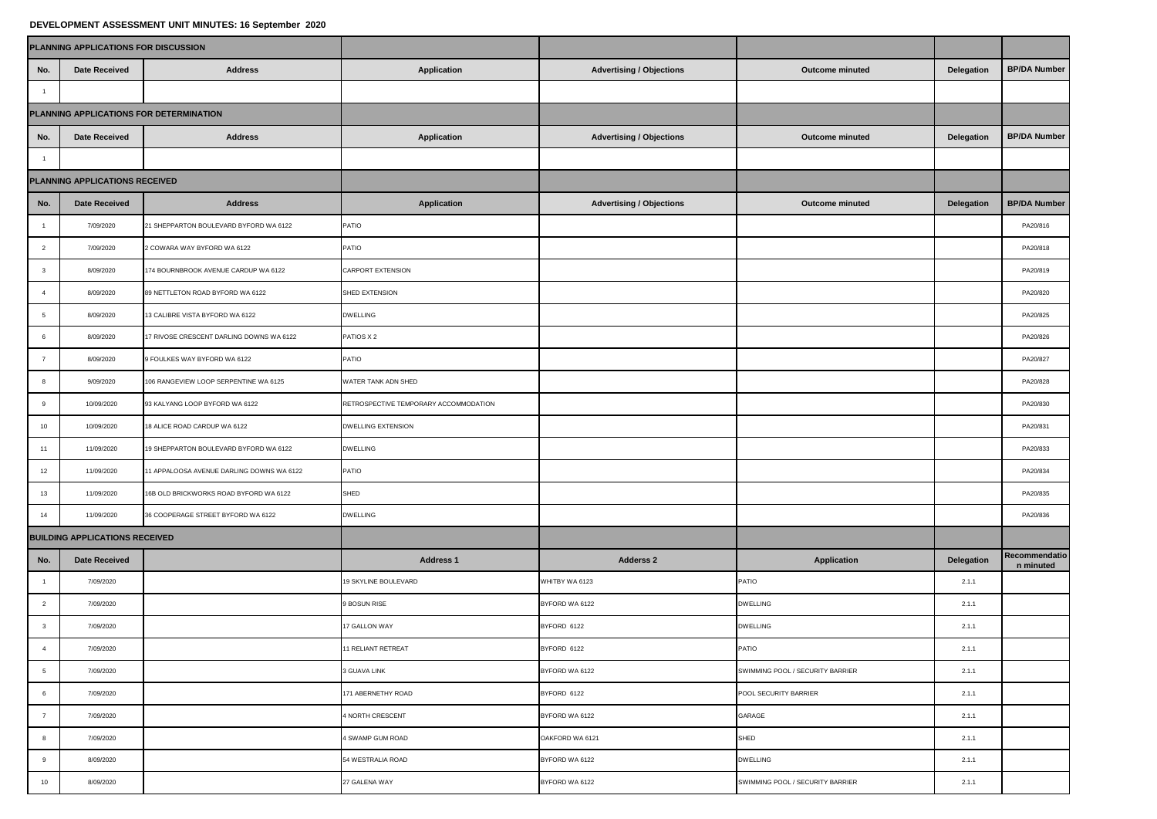## **DEVELOPMENT ASSESSMENT UNIT MINUTES: 16 September 2020**

|                         | PLANNING APPLICATIONS FOR DISCUSSION    |                                           |                                       |                                 |                                  |            |                            |
|-------------------------|-----------------------------------------|-------------------------------------------|---------------------------------------|---------------------------------|----------------------------------|------------|----------------------------|
| No.                     | Date Received                           | <b>Address</b>                            | Application                           | <b>Advertising / Objections</b> | Outcome minuted                  | Delegation | <b>BP/DA Number</b>        |
| $\overline{1}$          |                                         |                                           |                                       |                                 |                                  |            |                            |
|                         | PLANNING APPLICATIONS FOR DETERMINATION |                                           |                                       |                                 |                                  |            |                            |
| No.                     | Date Received                           | <b>Address</b>                            | Application                           | <b>Advertising / Objections</b> | Outcome minuted                  | Delegation | <b>BP/DA Number</b>        |
| $\overline{1}$          |                                         |                                           |                                       |                                 |                                  |            |                            |
|                         | PLANNING APPLICATIONS RECEIVED          |                                           |                                       |                                 |                                  |            |                            |
| No.                     | <b>Date Received</b>                    | <b>Address</b>                            | Application                           | <b>Advertising / Objections</b> | <b>Outcome minuted</b>           | Delegation | <b>BP/DA Number</b>        |
| $\overline{1}$          | 7/09/2020                               | 21 SHEPPARTON BOULEVARD BYFORD WA 6122    | PATIO                                 |                                 |                                  |            | PA20/816                   |
| $\overline{2}$          | 7/09/2020                               | 2 COWARA WAY BYFORD WA 6122               | PATIO                                 |                                 |                                  |            | PA20/818                   |
| $\overline{\mathbf{3}}$ | 8/09/2020                               | 174 BOURNBROOK AVENUE CARDUP WA 6122      | CARPORT EXTENSION                     |                                 |                                  |            | PA20/819                   |
| $\overline{4}$          | 8/09/2020                               | 89 NETTLETON ROAD BYFORD WA 6122          | SHED EXTENSION                        |                                 |                                  |            | PA20/820                   |
| 5                       | 8/09/2020                               | 13 CALIBRE VISTA BYFORD WA 6122           | <b>DWELLING</b>                       |                                 |                                  |            | PA20/825                   |
| 6                       | 8/09/2020                               | 17 RIVOSE CRESCENT DARLING DOWNS WA 6122  | PATIOS X 2                            |                                 |                                  |            | PA20/826                   |
| $\overline{7}$          | 8/09/2020                               | 9 FOULKES WAY BYFORD WA 6122              | PATIO                                 |                                 |                                  |            | PA20/827                   |
| $\,$ 8                  | 9/09/2020                               | 106 RANGEVIEW LOOP SERPENTINE WA 6125     | WATER TANK ADN SHED                   |                                 |                                  |            | PA20/828                   |
| 9                       | 10/09/2020                              | 93 KALYANG LOOP BYFORD WA 6122            | RETROSPECTIVE TEMPORARY ACCOMMODATION |                                 |                                  |            | PA20/830                   |
| 10                      | 10/09/2020                              | 18 ALICE ROAD CARDUP WA 6122              | <b>DWELLING EXTENSION</b>             |                                 |                                  |            | PA20/831                   |
| 11                      | 11/09/2020                              | 19 SHEPPARTON BOULEVARD BYFORD WA 6122    | <b>DWELLING</b>                       |                                 |                                  |            | PA20/833                   |
| 12                      | 11/09/2020                              | 11 APPALOOSA AVENUE DARLING DOWNS WA 6122 | PATIO                                 |                                 |                                  |            | PA20/834                   |
| 13                      | 11/09/2020                              | 16B OLD BRICKWORKS ROAD BYFORD WA 6122    | SHED                                  |                                 |                                  |            | PA20/835                   |
| 14                      | 11/09/2020                              | 36 COOPERAGE STREET BYFORD WA 6122        | <b>DWELLING</b>                       |                                 |                                  |            | PA20/836                   |
|                         | <b>BUILDING APPLICATIONS RECEIVED</b>   |                                           |                                       |                                 |                                  |            |                            |
| No.                     | <b>Date Received</b>                    |                                           | <b>Address 1</b>                      | <b>Adderss 2</b>                | <b>Application</b>               | Delegation | Recommendatio<br>n minuted |
| $\overline{1}$          | 7/09/2020                               |                                           | 19 SKYLINE BOULEVARD                  | WHITBY WA 6123                  | PATIO                            | 2.1.1      |                            |
| $\overline{2}$          | 7/09/2020                               |                                           | <b>BOSUN RISE</b>                     | BYFORD WA 6122                  | <b>DWELLING</b>                  | 2.1.1      |                            |
| $\overline{\mathbf{3}}$ | 7/09/2020                               |                                           | 17 GALLON WAY                         | BYFORD 6122                     | <b>DWELLING</b>                  | 2.1.1      |                            |
|                         | 7/09/2020                               |                                           | 11 RELIANT RETREAT                    | BYFORD 6122                     | PATIO                            | 2.1.1      |                            |
| $5\phantom{.0}$         | 7/09/2020                               |                                           | 3 GUAVA LINK                          | BYFORD WA 6122                  | SWIMMING POOL / SECURITY BARRIER | 2.1.1      |                            |
| 6                       | 7/09/2020                               |                                           | 171 ABERNETHY ROAD                    | BYFORD 6122                     | POOL SECURITY BARRIER            | 2.1.1      |                            |
| $\overline{7}$          | 7/09/2020                               |                                           | 4 NORTH CRESCENT                      | BYFORD WA 6122                  | GARAGE                           | 2.1.1      |                            |
| 8                       | 7/09/2020                               |                                           | 4 SWAMP GUM ROAD                      | OAKFORD WA 6121                 | SHED                             | 2.1.1      |                            |
| 9                       | 8/09/2020                               |                                           | 54 WESTRALIA ROAD                     | BYFORD WA 6122                  | <b>DWELLING</b>                  | 2.1.1      |                            |
| 10                      | 8/09/2020                               |                                           | 27 GALENA WAY                         | BYFORD WA 6122                  | SWIMMING POOL / SECURITY BARRIER | 2.1.1      |                            |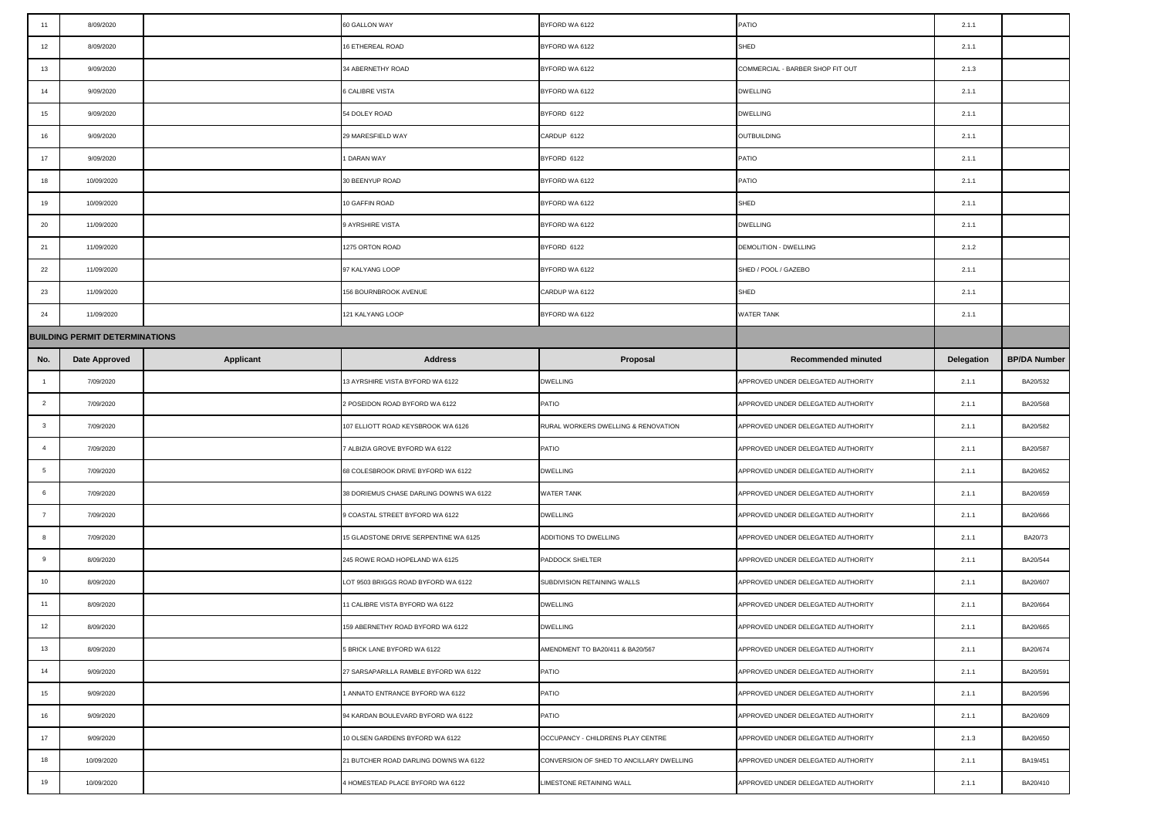| 11              | 8/09/2020                             |                  | 60 GALLON WAY                           | BYFORD WA 6122                           | PATIO                              | 2.1.1      |                     |
|-----------------|---------------------------------------|------------------|-----------------------------------------|------------------------------------------|------------------------------------|------------|---------------------|
| 12              | 8/09/2020                             |                  | 16 ETHEREAL ROAD                        | 3YFORD WA 6122                           | SHED                               | 2.1.1      |                     |
| 13              | 9/09/2020                             |                  | 34 ABERNETHY ROAD                       | BYFORD WA 6122                           | COMMERCIAL - BARBER SHOP FIT OUT   | 2.1.3      |                     |
| 14              | 9/09/2020                             |                  | 6 CALIBRE VISTA                         | BYFORD WA 6122                           | <b>DWELLING</b>                    | 2.1.1      |                     |
| 15              | 9/09/2020                             |                  | 54 DOLEY ROAD                           | BYFORD 6122                              | <b>DWELLING</b>                    | 2.1.1      |                     |
| 16              | 9/09/2020                             |                  | 29 MARESFIELD WAY                       | CARDUP 6122                              | OUTBUILDING                        | 2.1.1      |                     |
| 17              | 9/09/2020                             |                  | <b>DARAN WAY</b>                        | BYFORD 6122                              | PATIO                              | 2.1.1      |                     |
| 18              | 10/09/2020                            |                  | 30 BEENYUP ROAD                         | BYFORD WA 6122                           | PATIO                              | 2.1.1      |                     |
| 19              | 10/09/2020                            |                  | 10 GAFFIN ROAD                          | BYFORD WA 6122                           | SHED                               | 2.1.1      |                     |
| 20              | 11/09/2020                            |                  | 9 AYRSHIRE VISTA                        | BYFORD WA 6122                           | <b>DWELLING</b>                    | 2.1.1      |                     |
| 21              | 11/09/2020                            |                  | 1275 ORTON ROAD                         | BYFORD 6122                              | <b>DEMOLITION - DWELLING</b>       | 2.1.2      |                     |
| 22              | 11/09/2020                            |                  | 97 KALYANG LOOP                         | BYFORD WA 6122                           | SHED / POOL / GAZEBO               | 2.1.1      |                     |
| 23              | 11/09/2020                            |                  | 156 BOURNBROOK AVENUE                   | CARDUP WA 6122                           | SHED                               | 2.1.1      |                     |
| 24              | 11/09/2020                            |                  | 121 KALYANG LOOP                        | BYFORD WA 6122                           | WATER TANK                         | 2.1.1      |                     |
|                 | <b>BUILDING PERMIT DETERMINATIONS</b> |                  |                                         |                                          |                                    |            |                     |
| No.             | Date Approved                         | <b>Applicant</b> | <b>Address</b>                          | Proposal                                 | <b>Recommended minuted</b>         | Delegation | <b>BP/DA Number</b> |
| $\overline{1}$  | 7/09/2020                             |                  | 13 AYRSHIRE VISTA BYFORD WA 6122        | <b>DWELLING</b>                          | APPROVED UNDER DELEGATED AUTHORITY | 2.1.1      | BA20/532            |
| $\overline{2}$  | 7/09/2020                             |                  | 2 POSEIDON ROAD BYFORD WA 6122          | PATIO                                    | APPROVED UNDER DELEGATED AUTHORITY | 2.1.1      | BA20/568            |
| $\mathbf{3}$    | 7/09/2020                             |                  | 107 ELLIOTT ROAD KEYSBROOK WA 6126      | RURAL WORKERS DWELLING & RENOVATION      | APPROVED UNDER DELEGATED AUTHORITY | 2.1.1      | BA20/582            |
| $\overline{4}$  | 7/09/2020                             |                  | ALBIZIA GROVE BYFORD WA 6122            | PATIO                                    | APPROVED UNDER DELEGATED AUTHORITY | 2.1.1      | BA20/587            |
| $5\phantom{.0}$ | 7/09/2020                             |                  | 68 COLESBROOK DRIVE BYFORD WA 6122      | <b>DWELLING</b>                          | APPROVED UNDER DELEGATED AUTHORITY | 2.1.1      | BA20/652            |
| 6               | 7/09/2020                             |                  | 38 DORIEMUS CHASE DARLING DOWNS WA 6122 | WATER TANK                               | APPROVED UNDER DELEGATED AUTHORITY | 2.1.1      | BA20/659            |
| $\overline{7}$  | 7/09/2020                             |                  | 9 COASTAL STREET BYFORD WA 6122         | <b>DWELLING</b>                          | APPROVED UNDER DELEGATED AUTHORITY | 2.1.1      | BA20/666            |
| 8               | 7/09/2020                             |                  | 15 GLADSTONE DRIVE SERPENTINE WA 6125   | ADDITIONS TO DWELLING                    | APPROVED UNDER DELEGATED AUTHORITY | 2.1.1      | BA20/73             |
| 9               | 8/09/2020                             |                  | 245 ROWE ROAD HOPELAND WA 6125          | PADDOCK SHELTER                          | APPROVED UNDER DELEGATED AUTHORITY | 2.1.1      | BA20/544            |
| 10              | 8/09/2020                             |                  | LOT 9503 BRIGGS ROAD BYFORD WA 6122     | SUBDIVISION RETAINING WALLS              | APPROVED UNDER DELEGATED AUTHORITY | 2.1.1      | BA20/607            |
| 11              | 8/09/2020                             |                  | 1 CALIBRE VISTA BYFORD WA 6122          | DWELLING                                 | APPROVED UNDER DELEGATED AUTHORITY | 2.1.1      | BA20/664            |
| 12              | 8/09/2020                             |                  | 159 ABERNETHY ROAD BYFORD WA 6122       | <b>DWELLING</b>                          | APPROVED UNDER DELEGATED AUTHORITY | 2.1.1      | BA20/665            |
| 13              | 8/09/2020                             |                  | 5 BRICK LANE BYFORD WA 6122             | AMENDMENT TO BA20/411 & BA20/567         | APPROVED UNDER DELEGATED AUTHORITY | 2.1.1      | BA20/674            |
| 14              | 9/09/2020                             |                  | 27 SARSAPARILLA RAMBLE BYFORD WA 6122   | PATIO                                    | APPROVED UNDER DELEGATED AUTHORITY | 2.1.1      | BA20/591            |
| 15              | 9/09/2020                             |                  | ANNATO ENTRANCE BYFORD WA 6122          | PATIO                                    | APPROVED UNDER DELEGATED AUTHORITY | 2.1.1      | BA20/596            |
| 16              | 9/09/2020                             |                  | 94 KARDAN BOULEVARD BYFORD WA 6122      | PATIO                                    |                                    | 2.1.1      | BA20/609            |
| 17              |                                       |                  |                                         |                                          | APPROVED UNDER DELEGATED AUTHORITY |            |                     |
|                 | 9/09/2020                             |                  | 10 OLSEN GARDENS BYFORD WA 6122         | OCCUPANCY - CHILDRENS PLAY CENTRE        | APPROVED UNDER DELEGATED AUTHORITY | 2.1.3      | BA20/650            |
| 18              | 10/09/2020                            |                  | 21 BUTCHER ROAD DARLING DOWNS WA 6122   | CONVERSION OF SHED TO ANCILLARY DWELLING | APPROVED UNDER DELEGATED AUTHORITY | 2.1.1      | BA19/451            |